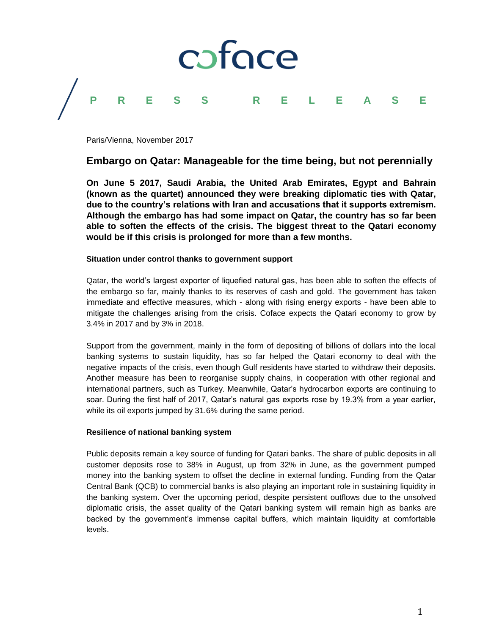

Paris/Vienna, November 2017

# **Embargo on Qatar: Manageable for the time being, but not perennially**

**On June 5 2017, Saudi Arabia, the United Arab Emirates, Egypt and Bahrain (known as the quartet) announced they were breaking diplomatic ties with Qatar, due to the country's relations with Iran and accusations that it supports extremism. Although the embargo has had some impact on Qatar, the country has so far been able to soften the effects of the crisis. The biggest threat to the Qatari economy would be if this crisis is prolonged for more than a few months.**

## **Situation under control thanks to government support**

Qatar, the world's largest exporter of liquefied natural gas, has been able to soften the effects of the embargo so far, mainly thanks to its reserves of cash and gold. The government has taken immediate and effective measures, which - along with rising energy exports - have been able to mitigate the challenges arising from the crisis. Coface expects the Qatari economy to grow by 3.4% in 2017 and by 3% in 2018.

Support from the government, mainly in the form of depositing of billions of dollars into the local banking systems to sustain liquidity, has so far helped the Qatari economy to deal with the negative impacts of the crisis, even though Gulf residents have started to withdraw their deposits. Another measure has been to reorganise supply chains, in cooperation with other regional and international partners, such as Turkey. Meanwhile, Qatar's hydrocarbon exports are continuing to soar. During the first half of 2017, Qatar's natural gas exports rose by 19.3% from a year earlier, while its oil exports jumped by 31.6% during the same period.

### **Resilience of national banking system**

Public deposits remain a key source of funding for Qatari banks. The share of public deposits in all customer deposits rose to 38% in August, up from 32% in June, as the government pumped money into the banking system to offset the decline in external funding. Funding from the Qatar Central Bank (QCB) to commercial banks is also playing an important role in sustaining liquidity in the banking system. Over the upcoming period, despite persistent outflows due to the unsolved diplomatic crisis, the asset quality of the Qatari banking system will remain high as banks are backed by the government's immense capital buffers, which maintain liquidity at comfortable levels.